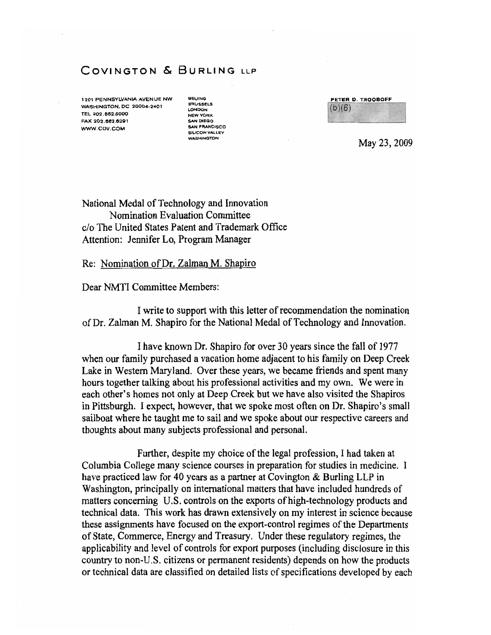## **COVINGTON & BURLING** LLP

1201 PENNSYLVANIA AVENUE NW BEIJING WASHINGTON.OC 20004·2401 TEL 202.882.6000 FAX 202.662.6291 SAN DIEGO WWW.COV.COM

BRUSSELS ~ClNOON NEW YORK<br>SAN DIEGO SILICON VALLEY

|        | PETER D. TROOBOFF |
|--------|-------------------|
|        |                   |
| (b)(6) |                   |
|        |                   |

May 23, 2009

National Medal of Technology and Innovation Nomination Evaluation Committee c/o The United States Patent and Trademark Office Attention: Jennifer Lo, Program Manager

Re: Nomination of Dr. Zalman M. Shapiro

Dear NMTI Committee Members:

I write to support with this letter of recommendation the nomination of Dr. Zalman M. Shapiro for the National Medal of Technology and Innovation.

1have known Dr. Shapiro for over 30 years since the fall of 1977 when our family purchased a vacation home adjacent to his family on Deep Creek Lake in Western Maryland. Over these years, we became friends and spent many hours together talking about his professional activities and my own. We were in each other's homes not only at Deep Creek but we have also visited the Shapiros in Pittsburgh. I expect, however, that we spoke most often on Dr. Shapiro's small sailboat where he taught me to sail and we spoke about our respective careers and thoughts about many subjects professional and personal.

Further, despite my choice of the legal profession, I had taken at Columbia College many science courses in preparation for studies in medicine. I have practiced law for 40 years as a partner at Covington & Burling LLP in Washington, principally on international matters that have included hundreds of matters concerning U.S. controls on the exports of high-technology products and technical data. This work has drawn extensively on my interest in science because these assignments have focused on the export-control regimes of the Departments of State, Commerce, Energy and Treasury. Under these regulatory regimes, the applicability and level of controls for export purposes (including disclosure in this country to non·U.S. citizens or pennanent residents) depends on how the products or technical data are classified on detailed lists of specifications developed by each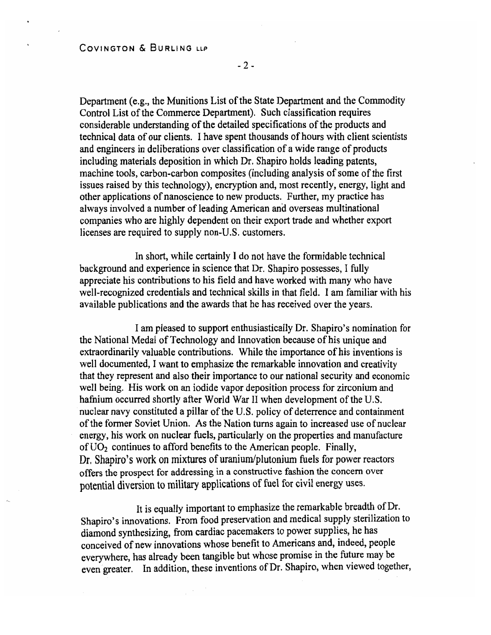$-2-$ 

Department (e.g., the Munitions List of the State Department and the Commodity Control List of the Commerce Department). Such classification requires considerable understanding of the detailed specifications of the products and technical data of our clients. I have spent thousands of hours with client scientists and engineers in deliberations over classification of a wide range of products including materials deposition in which Dr. Shapiro holds leading patents, machine tools, carbon-carbon composites (including analysis of some of the first issues raised by this technology), encryption and, most recently, energy, light and other applications of nanoscience to new products. Further, my practice has always involved a number of leading American and overseas multinational companies who are highly dependent on their export trade and whether export licenses are required to supply non-U.S. customers.

In short, while certainly I do not have the formidable technical background and experience in science that Dr. Shapiro possesses, I fully appreciate his contributions to his field and have worked with many who have well-recognized credentials and technical skills in that field. I am familiar with his available publications and the awards that be has received over the years.

I am pleased to support enthusiastically Dr. Shapiro's nomination for the National Medal of Technology and Innovation because of his unique and extraordinarily valuable contributions. While the importance of his inventions is well documented, I want to emphasize the remarkable innovation and creativity that they represent and also their importance to our national security and economic well being. His work on an iodide vapor deposition process for zirconium and hafnium occurred shortly after World War II when development of the U.S. nuclear navy constituted a pillar of the U.S. policy of deterrence and containment of the fonner Soviet Union. As the Nation turns again to increased use of nuclear energy, his work on nuclear fuels, particularly on the properties and manufacture of  $UO<sub>2</sub>$  continues to afford benefits to the American people. Finally, Dr, Shapiro's work on mixtures of uranium/plutonium fuels for power reactors offers the prospect for addressing in a constructive fashion the concern over potential diversion to military applications of fuel for civil energy uses.

It is equally important to emphasize the remarkable breadth of Dr. Shapiro's innovations. From food preservation and medical supply sterilization to diamond synthesizing, from cardiac pacemakers to power supplies, he has conceived of new innovations whose benefit to Americans and, indeed, people everywhere, has already been tangible but whose promise in the future may be even greater. In addition, these inventions of Dr. Shapiro, when viewed together,